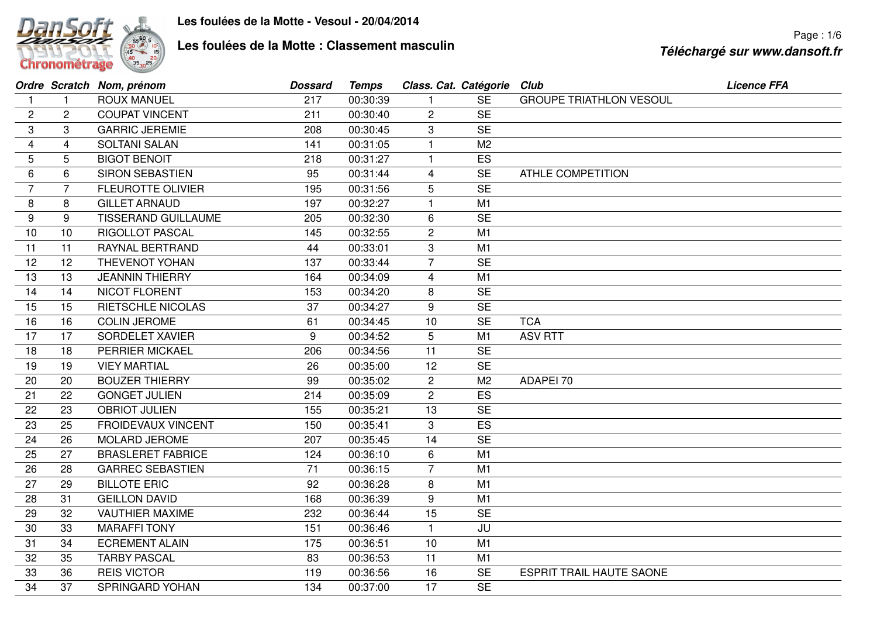

## **Les foulées de la Motte : Classement masculin**

|    |                | Ordre Scratch Nom, prénom  | <b>Dossard</b> | <b>Temps</b> | Class. Cat. Catégorie Club |                |                                 | <b>Licence FFA</b> |
|----|----------------|----------------------------|----------------|--------------|----------------------------|----------------|---------------------------------|--------------------|
| 1  | $\overline{1}$ | <b>ROUX MANUEL</b>         | 217            | 00:30:39     |                            | <b>SE</b>      | <b>GROUPE TRIATHLON VESOUL</b>  |                    |
| 2  | $\mathbf{2}$   | <b>COUPAT VINCENT</b>      | 211            | 00:30:40     | $\overline{c}$             | <b>SE</b>      |                                 |                    |
| 3  | 3              | <b>GARRIC JEREMIE</b>      | 208            | 00:30:45     | 3                          | <b>SE</b>      |                                 |                    |
| 4  | 4              | <b>SOLTANI SALAN</b>       | 141            | 00:31:05     | $\overline{1}$             | M <sub>2</sub> |                                 |                    |
| 5  | 5              | <b>BIGOT BENOIT</b>        | 218            | 00:31:27     | -1                         | ES             |                                 |                    |
| 6  | 6              | <b>SIRON SEBASTIEN</b>     | 95             | 00:31:44     | 4                          | <b>SE</b>      | <b>ATHLE COMPETITION</b>        |                    |
| 7  | 7              | <b>FLEUROTTE OLIVIER</b>   | 195            | 00:31:56     | 5                          | <b>SE</b>      |                                 |                    |
| 8  | 8              | <b>GILLET ARNAUD</b>       | 197            | 00:32:27     | $\vert$                    | M1             |                                 |                    |
| 9  | 9              | <b>TISSERAND GUILLAUME</b> | 205            | 00:32:30     | 6                          | <b>SE</b>      |                                 |                    |
| 10 | 10             | RIGOLLOT PASCAL            | 145            | 00:32:55     | $\overline{c}$             | M1             |                                 |                    |
| 11 | 11             | RAYNAL BERTRAND            | 44             | 00:33:01     | $\boldsymbol{3}$           | M1             |                                 |                    |
| 12 | 12             | THEVENOT YOHAN             | 137            | 00:33:44     | $\overline{7}$             | <b>SE</b>      |                                 |                    |
| 13 | 13             | <b>JEANNIN THIERRY</b>     | 164            | 00:34:09     | 4                          | M1             |                                 |                    |
| 14 | 14             | <b>NICOT FLORENT</b>       | 153            | 00:34:20     | 8                          | <b>SE</b>      |                                 |                    |
| 15 | 15             | RIETSCHLE NICOLAS          | 37             | 00:34:27     | 9                          | <b>SE</b>      |                                 |                    |
| 16 | 16             | <b>COLIN JEROME</b>        | 61             | 00:34:45     | 10                         | <b>SE</b>      | <b>TCA</b>                      |                    |
| 17 | 17             | SORDELET XAVIER            | 9              | 00:34:52     | 5                          | M1             | <b>ASV RTT</b>                  |                    |
| 18 | 18             | <b>PERRIER MICKAEL</b>     | 206            | 00:34:56     | 11                         | <b>SE</b>      |                                 |                    |
| 19 | 19             | <b>VIEY MARTIAL</b>        | 26             | 00:35:00     | 12                         | <b>SE</b>      |                                 |                    |
| 20 | 20             | <b>BOUZER THIERRY</b>      | 99             | 00:35:02     | $\overline{c}$             | M <sub>2</sub> | ADAPEI 70                       |                    |
| 21 | 22             | <b>GONGET JULIEN</b>       | 214            | 00:35:09     | $\overline{c}$             | ES             |                                 |                    |
| 22 | 23             | <b>OBRIOT JULIEN</b>       | 155            | 00:35:21     | 13                         | <b>SE</b>      |                                 |                    |
| 23 | 25             | <b>FROIDEVAUX VINCENT</b>  | 150            | 00:35:41     | 3                          | ES             |                                 |                    |
| 24 | 26             | MOLARD JEROME              | 207            | 00:35:45     | 14                         | <b>SE</b>      |                                 |                    |
| 25 | 27             | <b>BRASLERET FABRICE</b>   | 124            | 00:36:10     | 6                          | M1             |                                 |                    |
| 26 | 28             | <b>GARREC SEBASTIEN</b>    | 71             | 00:36:15     | $\overline{7}$             | M1             |                                 |                    |
| 27 | 29             | <b>BILLOTE ERIC</b>        | 92             | 00:36:28     | 8                          | M1             |                                 |                    |
| 28 | 31             | <b>GEILLON DAVID</b>       | 168            | 00:36:39     | 9                          | M1             |                                 |                    |
| 29 | 32             | <b>VAUTHIER MAXIME</b>     | 232            | 00:36:44     | 15                         | <b>SE</b>      |                                 |                    |
| 30 | 33             | <b>MARAFFI TONY</b>        | 151            | 00:36:46     | $\mathbf{1}$               | JU             |                                 |                    |
| 31 | 34             | <b>ECREMENT ALAIN</b>      | 175            | 00:36:51     | 10                         | M1             |                                 |                    |
| 32 | 35             | <b>TARBY PASCAL</b>        | 83             | 00:36:53     | 11                         | M1             |                                 |                    |
| 33 | 36             | <b>REIS VICTOR</b>         | 119            | 00:36:56     | 16                         | <b>SE</b>      | <b>ESPRIT TRAIL HAUTE SAONE</b> |                    |
| 34 | 37             | SPRINGARD YOHAN            | 134            | 00:37:00     | 17                         | <b>SE</b>      |                                 |                    |
|    |                |                            |                |              |                            |                |                                 |                    |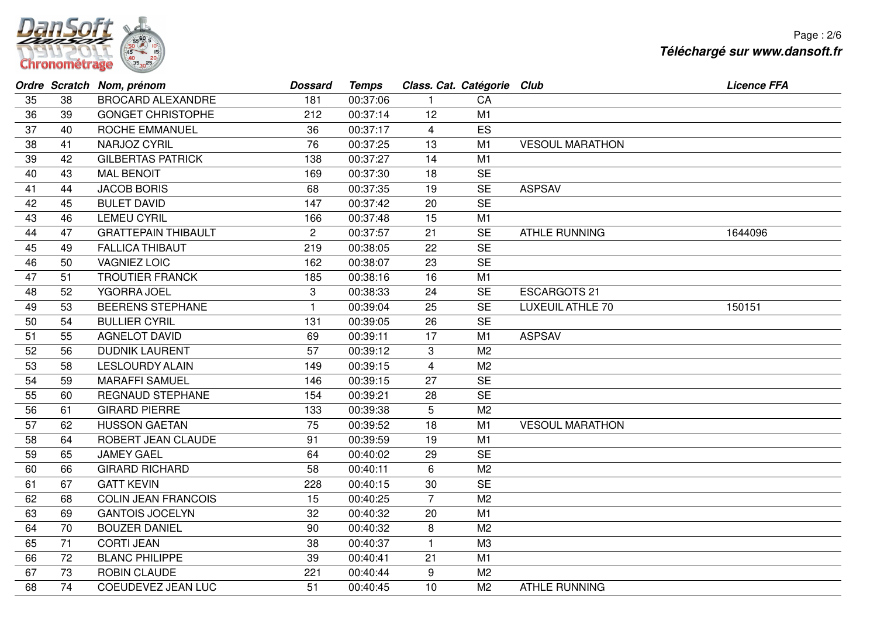

|    |    | Ordre Scratch Nom, prénom  | <b>Dossard</b> | <b>Temps</b> | Class. Cat. Catégorie Club |                |                         | <b>Licence FFA</b> |
|----|----|----------------------------|----------------|--------------|----------------------------|----------------|-------------------------|--------------------|
| 35 | 38 | <b>BROCARD ALEXANDRE</b>   | 181            | 00:37:06     |                            | CA             |                         |                    |
| 36 | 39 | <b>GONGET CHRISTOPHE</b>   | 212            | 00:37:14     | 12                         | M1             |                         |                    |
| 37 | 40 | ROCHE EMMANUEL             | 36             | 00:37:17     | $\overline{4}$             | ES             |                         |                    |
| 38 | 41 | NARJOZ CYRIL               | 76             | 00:37:25     | 13                         | M1             | <b>VESOUL MARATHON</b>  |                    |
| 39 | 42 | <b>GILBERTAS PATRICK</b>   | 138            | 00:37:27     | 14                         | M1             |                         |                    |
| 40 | 43 | <b>MAL BENOIT</b>          | 169            | 00:37:30     | 18                         | <b>SE</b>      |                         |                    |
| 41 | 44 | <b>JACOB BORIS</b>         | 68             | 00:37:35     | 19                         | <b>SE</b>      | <b>ASPSAV</b>           |                    |
| 42 | 45 | <b>BULET DAVID</b>         | 147            | 00:37:42     | 20                         | <b>SE</b>      |                         |                    |
| 43 | 46 | <b>LEMEU CYRIL</b>         | 166            | 00:37:48     | 15                         | M1             |                         |                    |
| 44 | 47 | <b>GRATTEPAIN THIBAULT</b> | $\overline{2}$ | 00:37:57     | 21                         | <b>SE</b>      | <b>ATHLE RUNNING</b>    | 1644096            |
| 45 | 49 | <b>FALLICA THIBAUT</b>     | 219            | 00:38:05     | 22                         | <b>SE</b>      |                         |                    |
| 46 | 50 | <b>VAGNIEZ LOIC</b>        | 162            | 00:38:07     | 23                         | <b>SE</b>      |                         |                    |
| 47 | 51 | <b>TROUTIER FRANCK</b>     | 185            | 00:38:16     | 16                         | M1             |                         |                    |
| 48 | 52 | YGORRA JOEL                | 3              | 00:38:33     | 24                         | <b>SE</b>      | <b>ESCARGOTS 21</b>     |                    |
| 49 | 53 | <b>BEERENS STEPHANE</b>    | 1              | 00:39:04     | 25                         | <b>SE</b>      | <b>LUXEUIL ATHLE 70</b> | 150151             |
| 50 | 54 | <b>BULLIER CYRIL</b>       | 131            | 00:39:05     | 26                         | <b>SE</b>      |                         |                    |
| 51 | 55 | <b>AGNELOT DAVID</b>       | 69             | 00:39:11     | 17                         | M1             | <b>ASPSAV</b>           |                    |
| 52 | 56 | <b>DUDNIK LAURENT</b>      | 57             | 00:39:12     | 3                          | M <sub>2</sub> |                         |                    |
| 53 | 58 | <b>LESLOURDY ALAIN</b>     | 149            | 00:39:15     | $\overline{4}$             | M <sub>2</sub> |                         |                    |
| 54 | 59 | <b>MARAFFI SAMUEL</b>      | 146            | 00:39:15     | 27                         | <b>SE</b>      |                         |                    |
| 55 | 60 | <b>REGNAUD STEPHANE</b>    | 154            | 00:39:21     | 28                         | <b>SE</b>      |                         |                    |
| 56 | 61 | <b>GIRARD PIERRE</b>       | 133            | 00:39:38     | 5                          | M <sub>2</sub> |                         |                    |
| 57 | 62 | <b>HUSSON GAETAN</b>       | 75             | 00:39:52     | 18                         | M1             | <b>VESOUL MARATHON</b>  |                    |
| 58 | 64 | ROBERT JEAN CLAUDE         | 91             | 00:39:59     | 19                         | M1             |                         |                    |
| 59 | 65 | <b>JAMEY GAEL</b>          | 64             | 00:40:02     | 29                         | <b>SE</b>      |                         |                    |
| 60 | 66 | <b>GIRARD RICHARD</b>      | 58             | 00:40:11     | 6                          | M <sub>2</sub> |                         |                    |
| 61 | 67 | <b>GATT KEVIN</b>          | 228            | 00:40:15     | 30                         | <b>SE</b>      |                         |                    |
| 62 | 68 | <b>COLIN JEAN FRANCOIS</b> | 15             | 00:40:25     | $\overline{7}$             | M <sub>2</sub> |                         |                    |
| 63 | 69 | <b>GANTOIS JOCELYN</b>     | 32             | 00:40:32     | 20                         | M1             |                         |                    |
| 64 | 70 | <b>BOUZER DANIEL</b>       | 90             | 00:40:32     | 8                          | M <sub>2</sub> |                         |                    |
| 65 | 71 | <b>CORTI JEAN</b>          | 38             | 00:40:37     | $\mathbf{1}$               | M3             |                         |                    |
| 66 | 72 | <b>BLANC PHILIPPE</b>      | 39             | 00:40:41     | 21                         | M1             |                         |                    |
| 67 | 73 | <b>ROBIN CLAUDE</b>        | 221            | 00:40:44     | 9                          | M <sub>2</sub> |                         |                    |
| 68 | 74 | COEUDEVEZ JEAN LUC         | 51             | 00:40:45     | 10                         | M <sub>2</sub> | <b>ATHLE RUNNING</b>    |                    |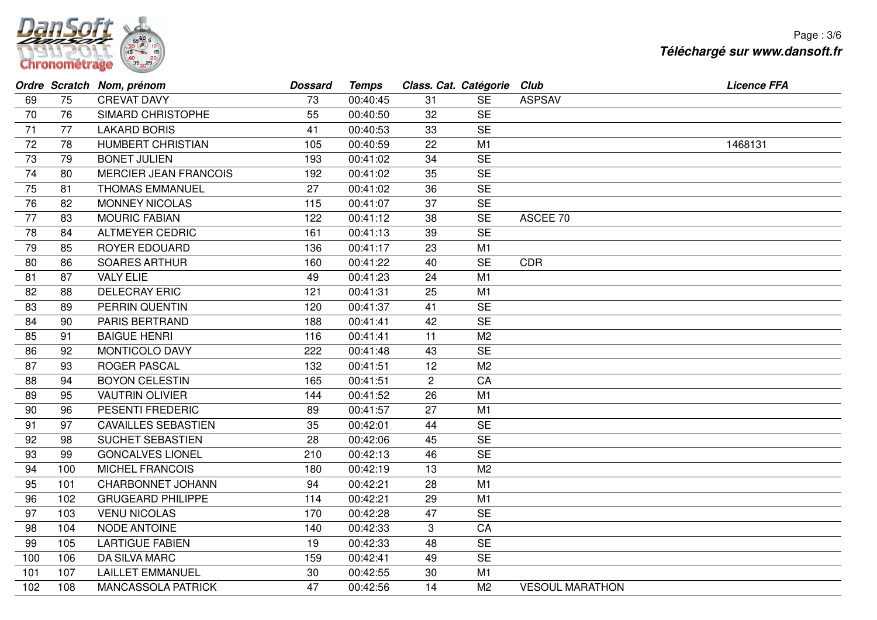

|     |     | Ordre Scratch Nom, prénom    | <b>Dossard</b> | <b>Temps</b> | Class. Cat. Catégorie Club |                |                        | <b>Licence FFA</b> |
|-----|-----|------------------------------|----------------|--------------|----------------------------|----------------|------------------------|--------------------|
| 69  | 75  | <b>CREVAT DAVY</b>           | 73             | 00:40:45     | 31                         | <b>SE</b>      | <b>ASPSAV</b>          |                    |
| 70  | 76  | SIMARD CHRISTOPHE            | 55             | 00:40:50     | 32                         | <b>SE</b>      |                        |                    |
| 71  | 77  | <b>LAKARD BORIS</b>          | 41             | 00:40:53     | 33                         | <b>SE</b>      |                        |                    |
| 72  | 78  | <b>HUMBERT CHRISTIAN</b>     | 105            | 00:40:59     | 22                         | M1             |                        | 1468131            |
| 73  | 79  | <b>BONET JULIEN</b>          | 193            | 00:41:02     | 34                         | <b>SE</b>      |                        |                    |
| 74  | 80  | <b>MERCIER JEAN FRANCOIS</b> | 192            | 00:41:02     | 35                         | <b>SE</b>      |                        |                    |
| 75  | 81  | <b>THOMAS EMMANUEL</b>       | 27             | 00:41:02     | 36                         | <b>SE</b>      |                        |                    |
| 76  | 82  | <b>MONNEY NICOLAS</b>        | 115            | 00:41:07     | 37                         | <b>SE</b>      |                        |                    |
| 77  | 83  | <b>MOURIC FABIAN</b>         | 122            | 00:41:12     | 38                         | <b>SE</b>      | ASCEE 70               |                    |
| 78  | 84  | <b>ALTMEYER CEDRIC</b>       | 161            | 00:41:13     | 39                         | <b>SE</b>      |                        |                    |
| 79  | 85  | <b>ROYER EDOUARD</b>         | 136            | 00:41:17     | 23                         | M1             |                        |                    |
| 80  | 86  | <b>SOARES ARTHUR</b>         | 160            | 00:41:22     | 40                         | <b>SE</b>      | <b>CDR</b>             |                    |
| 81  | 87  | <b>VALY ELIE</b>             | 49             | 00:41:23     | 24                         | M1             |                        |                    |
| 82  | 88  | <b>DELECRAY ERIC</b>         | 121            | 00:41:31     | 25                         | M1             |                        |                    |
| 83  | 89  | PERRIN QUENTIN               | 120            | 00:41:37     | 41                         | <b>SE</b>      |                        |                    |
| 84  | 90  | <b>PARIS BERTRAND</b>        | 188            | 00:41:41     | 42                         | <b>SE</b>      |                        |                    |
| 85  | 91  | <b>BAIGUE HENRI</b>          | 116            | 00:41:41     | 11                         | M <sub>2</sub> |                        |                    |
| 86  | 92  | MONTICOLO DAVY               | 222            | 00:41:48     | 43                         | <b>SE</b>      |                        |                    |
| 87  | 93  | ROGER PASCAL                 | 132            | 00:41:51     | 12                         | M <sub>2</sub> |                        |                    |
| 88  | 94  | <b>BOYON CELESTIN</b>        | 165            | 00:41:51     | $\mathbf{2}$               | CA             |                        |                    |
| 89  | 95  | <b>VAUTRIN OLIVIER</b>       | 144            | 00:41:52     | 26                         | M1             |                        |                    |
| 90  | 96  | PESENTI FREDERIC             | 89             | 00:41:57     | 27                         | M1             |                        |                    |
| 91  | 97  | <b>CAVAILLES SEBASTIEN</b>   | 35             | 00:42:01     | 44                         | <b>SE</b>      |                        |                    |
| 92  | 98  | SUCHET SEBASTIEN             | 28             | 00:42:06     | 45                         | <b>SE</b>      |                        |                    |
| 93  | 99  | <b>GONCALVES LIONEL</b>      | 210            | 00:42:13     | 46                         | <b>SE</b>      |                        |                    |
| 94  | 100 | <b>MICHEL FRANCOIS</b>       | 180            | 00:42:19     | 13                         | M <sub>2</sub> |                        |                    |
| 95  | 101 | <b>CHARBONNET JOHANN</b>     | 94             | 00:42:21     | 28                         | M1             |                        |                    |
| 96  | 102 | <b>GRUGEARD PHILIPPE</b>     | 114            | 00:42:21     | 29                         | M1             |                        |                    |
| 97  | 103 | <b>VENU NICOLAS</b>          | 170            | 00:42:28     | 47                         | <b>SE</b>      |                        |                    |
| 98  | 104 | <b>NODE ANTOINE</b>          | 140            | 00:42:33     | 3                          | CA             |                        |                    |
| 99  | 105 | <b>LARTIGUE FABIEN</b>       | 19             | 00:42:33     | 48                         | <b>SE</b>      |                        |                    |
| 100 | 106 | <b>DA SILVA MARC</b>         | 159            | 00:42:41     | 49                         | <b>SE</b>      |                        |                    |
| 101 | 107 | <b>LAILLET EMMANUEL</b>      | 30             | 00:42:55     | 30                         | M1             |                        |                    |
| 102 | 108 | <b>MANCASSOLA PATRICK</b>    | 47             | 00:42:56     | 14                         | M <sub>2</sub> | <b>VESOUL MARATHON</b> |                    |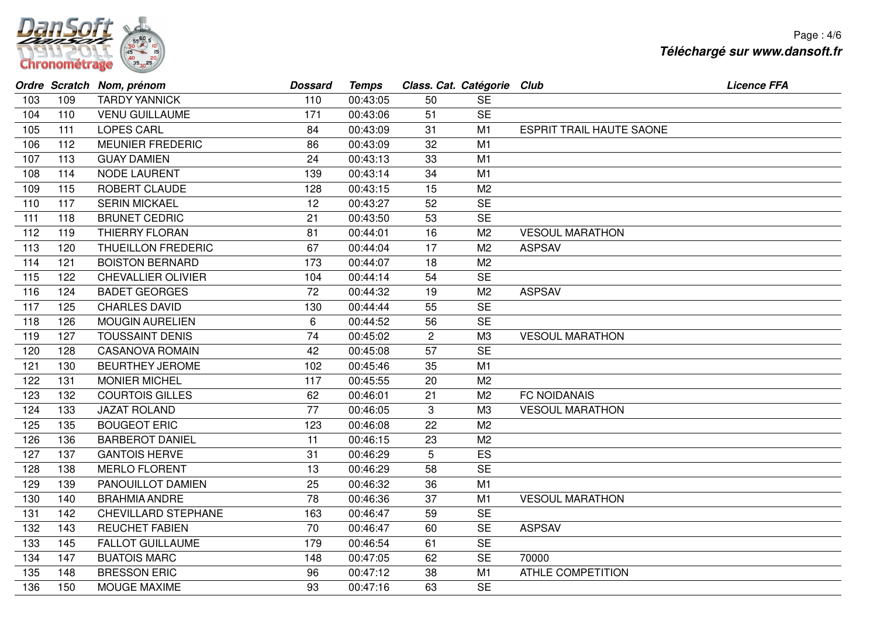

|     |     | Ordre Scratch Nom, prénom  | <b>Dossard</b> | <b>Temps</b> | Class. Cat. Catégorie Club |                |                                 | <b>Licence FFA</b> |
|-----|-----|----------------------------|----------------|--------------|----------------------------|----------------|---------------------------------|--------------------|
| 103 | 109 | <b>TARDY YANNICK</b>       | 110            | 00:43:05     | 50                         | <b>SE</b>      |                                 |                    |
| 104 | 110 | <b>VENU GUILLAUME</b>      | 171            | 00:43:06     | 51                         | <b>SE</b>      |                                 |                    |
| 105 | 111 | <b>LOPES CARL</b>          | 84             | 00:43:09     | 31                         | M1             | <b>ESPRIT TRAIL HAUTE SAONE</b> |                    |
| 106 | 112 | <b>MEUNIER FREDERIC</b>    | 86             | 00:43:09     | 32                         | M <sub>1</sub> |                                 |                    |
| 107 | 113 | <b>GUAY DAMIEN</b>         | 24             | 00:43:13     | 33                         | M <sub>1</sub> |                                 |                    |
| 108 | 114 | <b>NODE LAURENT</b>        | 139            | 00:43:14     | 34                         | M1             |                                 |                    |
| 109 | 115 | <b>ROBERT CLAUDE</b>       | 128            | 00:43:15     | 15                         | M <sub>2</sub> |                                 |                    |
| 110 | 117 | <b>SERIN MICKAEL</b>       | 12             | 00:43:27     | 52                         | <b>SE</b>      |                                 |                    |
| 111 | 118 | <b>BRUNET CEDRIC</b>       | 21             | 00:43:50     | 53                         | <b>SE</b>      |                                 |                    |
| 112 | 119 | <b>THIERRY FLORAN</b>      | 81             | 00:44:01     | 16                         | M <sub>2</sub> | <b>VESOUL MARATHON</b>          |                    |
| 113 | 120 | THUEILLON FREDERIC         | 67             | 00:44:04     | 17                         | M <sub>2</sub> | <b>ASPSAV</b>                   |                    |
| 114 | 121 | <b>BOISTON BERNARD</b>     | 173            | 00:44:07     | 18                         | M <sub>2</sub> |                                 |                    |
| 115 | 122 | <b>CHEVALLIER OLIVIER</b>  | 104            | 00:44:14     | 54                         | <b>SE</b>      |                                 |                    |
| 116 | 124 | <b>BADET GEORGES</b>       | 72             | 00:44:32     | 19                         | M <sub>2</sub> | <b>ASPSAV</b>                   |                    |
| 117 | 125 | <b>CHARLES DAVID</b>       | 130            | 00:44:44     | 55                         | <b>SE</b>      |                                 |                    |
| 118 | 126 | <b>MOUGIN AURELIEN</b>     | 6              | 00:44:52     | 56                         | <b>SE</b>      |                                 |                    |
| 119 | 127 | <b>TOUSSAINT DENIS</b>     | 74             | 00:45:02     | $\overline{2}$             | M <sub>3</sub> | <b>VESOUL MARATHON</b>          |                    |
| 120 | 128 | <b>CASANOVA ROMAIN</b>     | 42             | 00:45:08     | 57                         | <b>SE</b>      |                                 |                    |
| 121 | 130 | <b>BEURTHEY JEROME</b>     | 102            | 00:45:46     | 35                         | M1             |                                 |                    |
| 122 | 131 | <b>MONIER MICHEL</b>       | 117            | 00:45:55     | 20                         | M <sub>2</sub> |                                 |                    |
| 123 | 132 | <b>COURTOIS GILLES</b>     | 62             | 00:46:01     | 21                         | M <sub>2</sub> | FC NOIDANAIS                    |                    |
| 124 | 133 | <b>JAZAT ROLAND</b>        | 77             | 00:46:05     | 3                          | M <sub>3</sub> | <b>VESOUL MARATHON</b>          |                    |
| 125 | 135 | <b>BOUGEOT ERIC</b>        | 123            | 00:46:08     | 22                         | M <sub>2</sub> |                                 |                    |
| 126 | 136 | <b>BARBEROT DANIEL</b>     | 11             | 00:46:15     | 23                         | M <sub>2</sub> |                                 |                    |
| 127 | 137 | <b>GANTOIS HERVE</b>       | 31             | 00:46:29     | 5                          | ES             |                                 |                    |
| 128 | 138 | <b>MERLO FLORENT</b>       | 13             | 00:46:29     | 58                         | <b>SE</b>      |                                 |                    |
| 129 | 139 | PANOUILLOT DAMIEN          | 25             | 00:46:32     | 36                         | M1             |                                 |                    |
| 130 | 140 | <b>BRAHMIA ANDRE</b>       | 78             | 00:46:36     | 37                         | M1             | <b>VESOUL MARATHON</b>          |                    |
| 131 | 142 | <b>CHEVILLARD STEPHANE</b> | 163            | 00:46:47     | 59                         | <b>SE</b>      |                                 |                    |
| 132 | 143 | <b>REUCHET FABIEN</b>      | 70             | 00:46:47     | 60                         | <b>SE</b>      | <b>ASPSAV</b>                   |                    |
| 133 | 145 | <b>FALLOT GUILLAUME</b>    | 179            | 00:46:54     | 61                         | <b>SE</b>      |                                 |                    |
| 134 | 147 | <b>BUATOIS MARC</b>        | 148            | 00:47:05     | 62                         | <b>SE</b>      | 70000                           |                    |
| 135 | 148 | <b>BRESSON ERIC</b>        | 96             | 00:47:12     | 38                         | M <sub>1</sub> | <b>ATHLE COMPETITION</b>        |                    |
| 136 | 150 | MOUGE MAXIME               | 93             | 00:47:16     | 63                         | <b>SE</b>      |                                 |                    |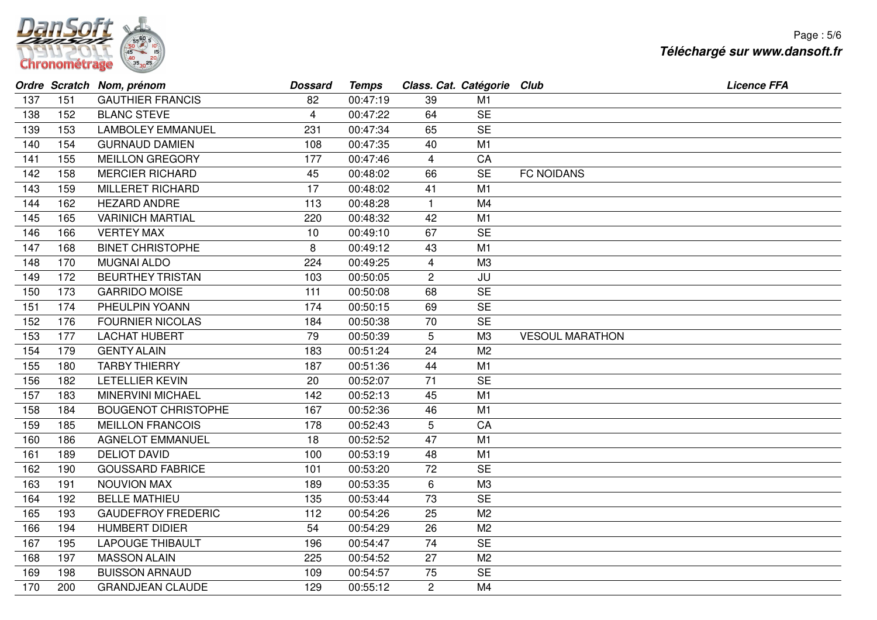

|     |     | Ordre Scratch Nom, prénom  | <b>Dossard</b> | <b>Temps</b> | Class. Cat. Catégorie Club |                |                        | <b>Licence FFA</b> |
|-----|-----|----------------------------|----------------|--------------|----------------------------|----------------|------------------------|--------------------|
| 137 | 151 | <b>GAUTHIER FRANCIS</b>    | 82             | 00:47:19     | 39                         | M <sub>1</sub> |                        |                    |
| 138 | 152 | <b>BLANC STEVE</b>         | 4              | 00:47:22     | 64                         | <b>SE</b>      |                        |                    |
| 139 | 153 | <b>LAMBOLEY EMMANUEL</b>   | 231            | 00:47:34     | 65                         | <b>SE</b>      |                        |                    |
| 140 | 154 | <b>GURNAUD DAMIEN</b>      | 108            | 00:47:35     | 40                         | M1             |                        |                    |
| 141 | 155 | <b>MEILLON GREGORY</b>     | 177            | 00:47:46     | 4                          | CA             |                        |                    |
| 142 | 158 | <b>MERCIER RICHARD</b>     | 45             | 00:48:02     | 66                         | <b>SE</b>      | <b>FC NOIDANS</b>      |                    |
| 143 | 159 | <b>MILLERET RICHARD</b>    | 17             | 00:48:02     | 41                         | M1             |                        |                    |
| 144 | 162 | <b>HEZARD ANDRE</b>        | 113            | 00:48:28     | $\mathbf{1}$               | M4             |                        |                    |
| 145 | 165 | <b>VARINICH MARTIAL</b>    | 220            | 00:48:32     | 42                         | M1             |                        |                    |
| 146 | 166 | <b>VERTEY MAX</b>          | 10             | 00:49:10     | 67                         | <b>SE</b>      |                        |                    |
| 147 | 168 | <b>BINET CHRISTOPHE</b>    | 8              | 00:49:12     | 43                         | M1             |                        |                    |
| 148 | 170 | <b>MUGNAI ALDO</b>         | 224            | 00:49:25     | $\overline{\mathbf{4}}$    | M <sub>3</sub> |                        |                    |
| 149 | 172 | <b>BEURTHEY TRISTAN</b>    | 103            | 00:50:05     | $\overline{c}$             | JU             |                        |                    |
| 150 | 173 | <b>GARRIDO MOISE</b>       | 111            | 00:50:08     | 68                         | <b>SE</b>      |                        |                    |
| 151 | 174 | PHEULPIN YOANN             | 174            | 00:50:15     | 69                         | <b>SE</b>      |                        |                    |
| 152 | 176 | <b>FOURNIER NICOLAS</b>    | 184            | 00:50:38     | 70                         | <b>SE</b>      |                        |                    |
| 153 | 177 | <b>LACHAT HUBERT</b>       | 79             | 00:50:39     | 5                          | M <sub>3</sub> | <b>VESOUL MARATHON</b> |                    |
| 154 | 179 | <b>GENTY ALAIN</b>         | 183            | 00:51:24     | 24                         | M <sub>2</sub> |                        |                    |
| 155 | 180 | <b>TARBY THIERRY</b>       | 187            | 00:51:36     | 44                         | M1             |                        |                    |
| 156 | 182 | LETELLIER KEVIN            | 20             | 00:52:07     | 71                         | <b>SE</b>      |                        |                    |
| 157 | 183 | <b>MINERVINI MICHAEL</b>   | 142            | 00:52:13     | 45                         | M1             |                        |                    |
| 158 | 184 | <b>BOUGENOT CHRISTOPHE</b> | 167            | 00:52:36     | 46                         | M <sub>1</sub> |                        |                    |
| 159 | 185 | <b>MEILLON FRANCOIS</b>    | 178            | 00:52:43     | 5                          | CA             |                        |                    |
| 160 | 186 | <b>AGNELOT EMMANUEL</b>    | 18             | 00:52:52     | 47                         | M1             |                        |                    |
| 161 | 189 | <b>DELIOT DAVID</b>        | 100            | 00:53:19     | 48                         | M1             |                        |                    |
| 162 | 190 | <b>GOUSSARD FABRICE</b>    | 101            | 00:53:20     | 72                         | <b>SE</b>      |                        |                    |
| 163 | 191 | NOUVION MAX                | 189            | 00:53:35     | $\,6$                      | M <sub>3</sub> |                        |                    |
| 164 | 192 | <b>BELLE MATHIEU</b>       | 135            | 00:53:44     | 73                         | <b>SE</b>      |                        |                    |
| 165 | 193 | <b>GAUDEFROY FREDERIC</b>  | 112            | 00:54:26     | 25                         | M <sub>2</sub> |                        |                    |
| 166 | 194 | <b>HUMBERT DIDIER</b>      | 54             | 00:54:29     | 26                         | M <sub>2</sub> |                        |                    |
| 167 | 195 | <b>LAPOUGE THIBAULT</b>    | 196            | 00:54:47     | 74                         | <b>SE</b>      |                        |                    |
| 168 | 197 | <b>MASSON ALAIN</b>        | 225            | 00:54:52     | 27                         | M <sub>2</sub> |                        |                    |
| 169 | 198 | <b>BUISSON ARNAUD</b>      | 109            | 00:54:57     | 75                         | <b>SE</b>      |                        |                    |
| 170 | 200 | <b>GRANDJEAN CLAUDE</b>    | 129            | 00:55:12     | $\overline{2}$             | M4             |                        |                    |